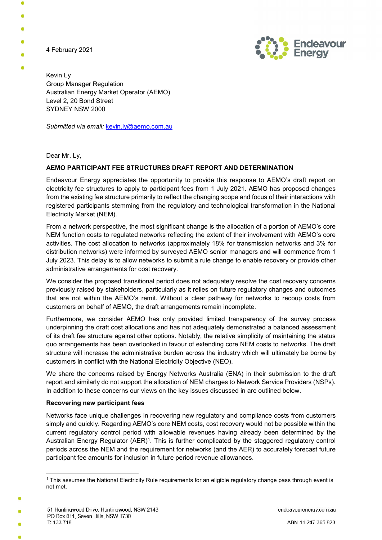4 February 2021



Kevin Ly Group Manager Regulation Australian Energy Market Operator (AEMO) Level 2, 20 Bond Street SYDNEY NSW 2000

Submitted via email: kevin.ly@aemo.com.au

Dear Mr. Ly,

## AEMO PARTICIPANT FEE STRUCTURES DRAFT REPORT AND DETERMINATION

Endeavour Energy appreciates the opportunity to provide this response to AEMO's draft report on electricity fee structures to apply to participant fees from 1 July 2021. AEMO has proposed changes from the existing fee structure primarily to reflect the changing scope and focus of their interactions with registered participants stemming from the regulatory and technological transformation in the National Electricity Market (NEM).

From a network perspective, the most significant change is the allocation of a portion of AEMO's core NEM function costs to regulated networks reflecting the extent of their involvement with AEMO's core activities. The cost allocation to networks (approximately 18% for transmission networks and 3% for distribution networks) were informed by surveyed AEMO senior managers and will commence from 1 July 2023. This delay is to allow networks to submit a rule change to enable recovery or provide other administrative arrangements for cost recovery.

We consider the proposed transitional period does not adequately resolve the cost recovery concerns previously raised by stakeholders, particularly as it relies on future regulatory changes and outcomes that are not within the AEMO's remit. Without a clear pathway for networks to recoup costs from customers on behalf of AEMO, the draft arrangements remain incomplete.

Furthermore, we consider AEMO has only provided limited transparency of the survey process underpinning the draft cost allocations and has not adequately demonstrated a balanced assessment of its draft fee structure against other options. Notably, the relative simplicity of maintaining the status quo arrangements has been overlooked in favour of extending core NEM costs to networks. The draft structure will increase the administrative burden across the industry which will ultimately be borne by customers in conflict with the National Electricity Objective (NEO).

We share the concerns raised by Energy Networks Australia (ENA) in their submission to the draft report and similarly do not support the allocation of NEM charges to Network Service Providers (NSPs). In addition to these concerns our views on the key issues discussed in are outlined below.

## Recovering new participant fees

Networks face unique challenges in recovering new regulatory and compliance costs from customers simply and quickly. Regarding AEMO's core NEM costs, cost recovery would not be possible within the current regulatory control period with allowable revenues having already been determined by the Australian Energy Regulator (AER)<sup>1</sup>. This is further complicated by the staggered regulatory control periods across the NEM and the requirement for networks (and the AER) to accurately forecast future participant fee amounts for inclusion in future period revenue allowances.

endeavourenergy.com.au

<sup>-</sup>1 This assumes the National Electricity Rule requirements for an eligible regulatory change pass through event is not met.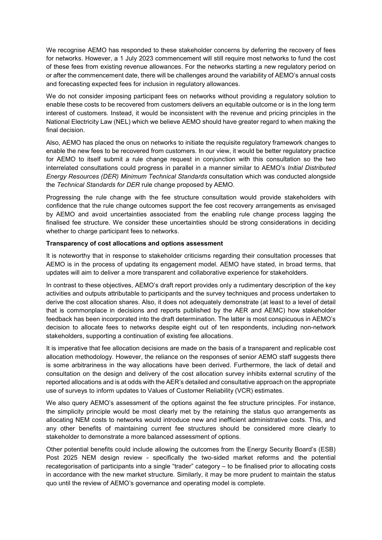We recognise AEMO has responded to these stakeholder concerns by deferring the recovery of fees for networks. However, a 1 July 2023 commencement will still require most networks to fund the cost of these fees from existing revenue allowances. For the networks starting a new regulatory period on or after the commencement date, there will be challenges around the variability of AEMO's annual costs and forecasting expected fees for inclusion in regulatory allowances.

We do not consider imposing participant fees on networks without providing a regulatory solution to enable these costs to be recovered from customers delivers an equitable outcome or is in the long term interest of customers. Instead, it would be inconsistent with the revenue and pricing principles in the National Electricity Law (NEL) which we believe AEMO should have greater regard to when making the final decision.

Also, AEMO has placed the onus on networks to initiate the requisite regulatory framework changes to enable the new fees to be recovered from customers. In our view, it would be better regulatory practice for AEMO to itself submit a rule change request in conjunction with this consultation so the two interrelated consultations could progress in parallel in a manner similar to AEMO's Initial Distributed Energy Resources (DER) Minimum Technical Standards consultation which was conducted alongside the Technical Standards for DER rule change proposed by AEMO.

Progressing the rule change with the fee structure consultation would provide stakeholders with confidence that the rule change outcomes support the fee cost recovery arrangements as envisaged by AEMO and avoid uncertainties associated from the enabling rule change process lagging the finalised fee structure. We consider these uncertainties should be strong considerations in deciding whether to charge participant fees to networks.

## Transparency of cost allocations and options assessment

It is noteworthy that in response to stakeholder criticisms regarding their consultation processes that AEMO is in the process of updating its engagement model. AEMO have stated, in broad terms, that updates will aim to deliver a more transparent and collaborative experience for stakeholders.

In contrast to these objectives, AEMO's draft report provides only a rudimentary description of the key activities and outputs attributable to participants and the survey techniques and process undertaken to derive the cost allocation shares. Also, it does not adequately demonstrate (at least to a level of detail that is commonplace in decisions and reports published by the AER and AEMC) how stakeholder feedback has been incorporated into the draft determination. The latter is most conspicuous in AEMO's decision to allocate fees to networks despite eight out of ten respondents, including non-network stakeholders, supporting a continuation of existing fee allocations.

It is imperative that fee allocation decisions are made on the basis of a transparent and replicable cost allocation methodology. However, the reliance on the responses of senior AEMO staff suggests there is some arbitrariness in the way allocations have been derived. Furthermore, the lack of detail and consultation on the design and delivery of the cost allocation survey inhibits external scrutiny of the reported allocations and is at odds with the AER's detailed and consultative approach on the appropriate use of surveys to inform updates to Values of Customer Reliability (VCR) estimates.

We also query AEMO's assessment of the options against the fee structure principles. For instance, the simplicity principle would be most clearly met by the retaining the status quo arrangements as allocating NEM costs to networks would introduce new and inefficient administrative costs. This, and any other benefits of maintaining current fee structures should be considered more clearly to stakeholder to demonstrate a more balanced assessment of options.

Other potential benefits could include allowing the outcomes from the Energy Security Board's (ESB) Post 2025 NEM design review - specifically the two-sided market reforms and the potential recategorisation of participants into a single "trader" category – to be finalised prior to allocating costs in accordance with the new market structure. Similarly, it may be more prudent to maintain the status quo until the review of AEMO's governance and operating model is complete.